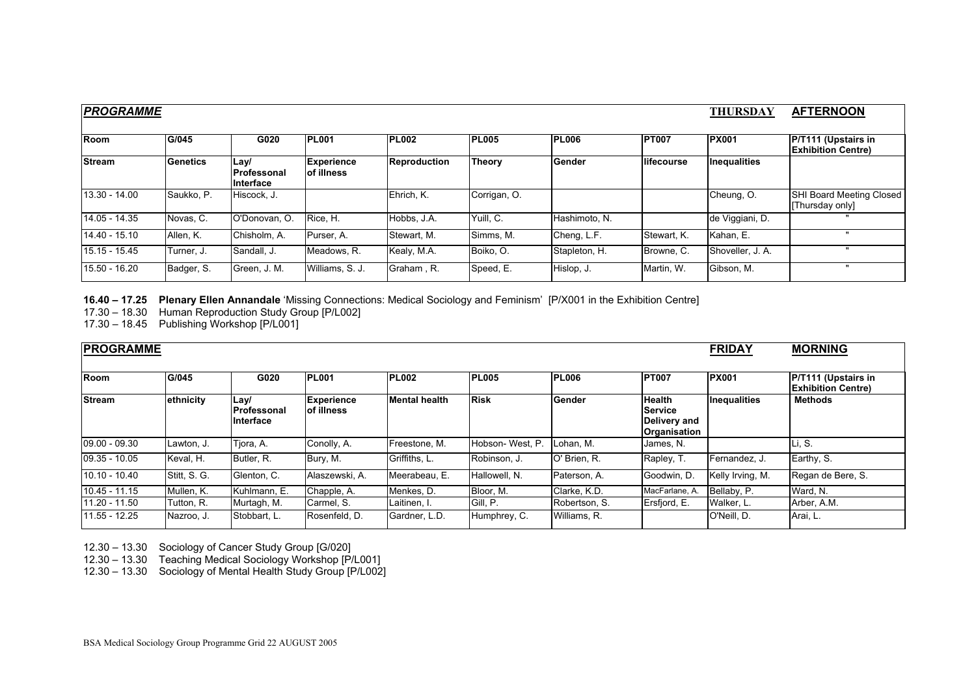| <b>PROGRAMME</b> |            |                                    |                                  |                     |              |               |              |                     | <b>AFTERNOON</b>                                  |
|------------------|------------|------------------------------------|----------------------------------|---------------------|--------------|---------------|--------------|---------------------|---------------------------------------------------|
| <b>Room</b>      | G/045      | G020                               | <b>PL001</b>                     | <b>PL002</b>        | <b>PL005</b> | <b>PL006</b>  | <b>PT007</b> | <b>PX001</b>        | P/T111 (Upstairs in<br><b>Exhibition Centre)</b>  |
| <b>Stream</b>    | Genetics   | Lay/<br>l Professonal<br>Interface | <b>Experience</b><br>lof illness | <b>Reproduction</b> | Theory       | <b>Gender</b> | lifecourse   | <b>Inequalities</b> |                                                   |
| 13.30 - 14.00    | Saukko, P. | Hiscock, J.                        |                                  | Ehrich. K.          | Corrigan, O. |               |              | Cheung, O.          | <b>SHI Board Meeting Closed</b><br>Thursday only] |
| 14.05 - 14.35    | Novas, C.  | O'Donovan, O.                      | Rice, H.                         | Hobbs, J.A.         | Yuill, C.    | Hashimoto, N. |              | de Viggiani, D.     |                                                   |
| 14.40 - 15.10    | Allen, K.  | Chisholm, A.                       | Purser, A.                       | Stewart, M.         | Simms, M.    | Cheng, L.F.   | Stewart, K.  | Kahan, E.           |                                                   |
| 15.15 - 15.45    | Turner, J. | Sandall, J.                        | Meadows, R.                      | Kealy, M.A.         | Boiko, O.    | Stapleton, H. | Browne, C.   | Shoveller, J. A.    |                                                   |
| 15.50 - 16.20    | Badger, S. | Green, J. M.                       | Williams, S. J.                  | Graham, R.          | Speed, E.    | Hislop, J.    | Martin, W.   | Gibson, M.          | $\mathbf{u}$                                      |

**16.40 – 17.25 Plenary Ellen Annandale** 'Missing Connections: Medical Sociology and Feminism' [P/X001 in the Exhibition Centre]

17.30 – 18.30 Human Reproduction Study Group [P/L002]

17.30 – 18.45 Publishing Workshop [P/L001]

| <b>PROGRAMME</b> |              |                                         |                                  |                      |                 |               |                                                                 |                  | <b>MORNING</b>                                   |
|------------------|--------------|-----------------------------------------|----------------------------------|----------------------|-----------------|---------------|-----------------------------------------------------------------|------------------|--------------------------------------------------|
|                  |              |                                         |                                  |                      |                 |               |                                                                 |                  |                                                  |
| Room             | G/045        | G020                                    | <b>PL001</b>                     | <b>PL002</b>         | <b>PL005</b>    | <b>PL006</b>  | <b>PT007</b>                                                    | <b>PX001</b>     | P/T111 (Upstairs in<br><b>Exhibition Centre)</b> |
| <b>Stream</b>    | ethnicity    | Lavl<br><b>Professonal</b><br>Interface | <b>Experience</b><br>lof illness | <b>Mental health</b> | <b>Risk</b>     | Gender        | <b>Health</b><br><b>Service</b><br>Delivery and<br>Organisation | Inequalities     | <b>Methods</b>                                   |
| $09.00 - 09.30$  | Lawton, J.   | Tiora, A.                               | Conolly, A.                      | Freestone, M.        | Hobson-West, P. | Lohan, M.     | James, N.                                                       |                  | Li, S.                                           |
| $09.35 - 10.05$  | Keval, H.    | Butler, R.                              | Bury, M.                         | Griffiths, L.        | Robinson, J.    | IO' Brien, R. | Rapley, T.                                                      | Fernandez, J.    | Earthy, S.                                       |
| $10.10 - 10.40$  | Stitt, S. G. | Glenton, C.                             | Alaszewski, A.                   | Meerabeau, E.        | Hallowell, N.   | Paterson, A.  | Goodwin, D.                                                     | Kelly Irving, M. | Regan de Bere, S.                                |
| $10.45 - 11.15$  | Mullen, K.   | Kuhlmann, E.                            | Chapple, A.                      | Menkes, D.           | Bloor, M.       | Clarke, K.D.  | MacFarlane, A.                                                  | Bellaby, P.      | Ward, N.                                         |
| 11.20 - 11.50    | Tutton, R.   | Murtagh, M.                             | Carmel, S.                       | Laitinen, I.         | Gill, P.        | Robertson, S. | Ersfiord, E.                                                    | Walker, L.       | Arber, A.M.                                      |
| 11.55 - 12.25    | Nazroo, J.   | Stobbart, L.                            | Rosenfeld, D.                    | Gardner, L.D.        | Humphrey, C.    | Williams, R.  |                                                                 | O'Neill, D.      | Arai, L.                                         |

12.30 – 13.30 Sociology of Cancer Study Group [G/020]

12.30 – 13.30 Teaching Medical Sociology Workshop [P/L001]

12.30 – 13.30 Sociology of Mental Health Study Group [P/L002]